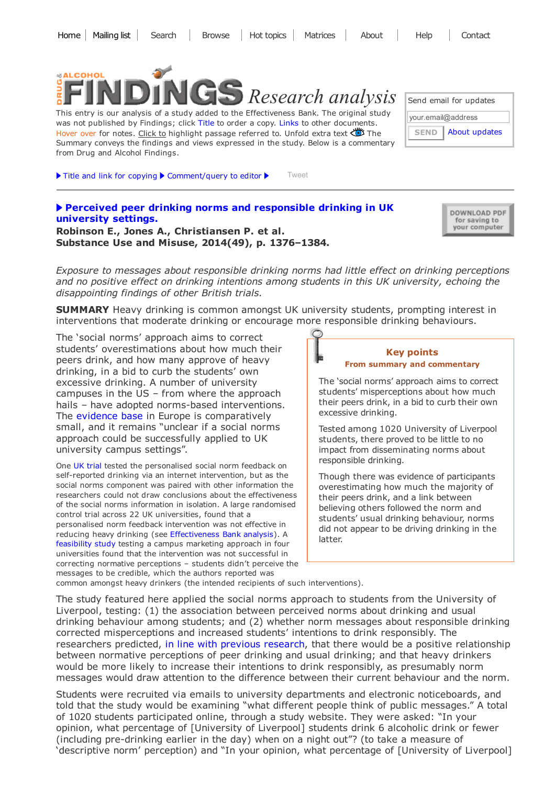

This entry is our analysis of a study added to the Effectiveness Bank. The original study was not published by Findings; click Title to order a copy. Links to other documents. Hover over for notes. Click to highlight passage referred to. Unfold extra text  $\bullet$  The Summary conveys the findings and views expressed in the study. Below is a commentary from Drug and Alcohol Findings.

 $\blacktriangleright$  Title and link for [copying](javascript:;)  $\blacktriangleright$  [Comment/query](mailto:editor@findings.org.uk?Subject=Findings%20entry:%20Perceived%20peer%20drinking%20norms%20and%20responsible%20drinking%20in%20UK%20university%20settings&body=Dear%20Editor%0A%0ARegarding%20the%20Findings%20document:%0APerceived%20peer%20drinking%20norms%20and%20responsible%20drinking%20in%20UK%20university%20settings%0Aat:%0Ahttp://findings.org.uk/PHP/dl.php?file=Robinson_E_4.cab%0A%0AI%20would%20appreciate%20your%20response%20to%20this%20comment/query:%0A[Enter%20your%20comment/query%20here]) to editor  $\blacktriangleright$  [Tweet](https://twitter.com/intent/tweet?original_referer=http%3A%2F%2Ffindings.org.uk%2FPHP%2Fdl.php%3Ffile%3DRobinson_E_4.cab&ref_src=twsrc%5Etfw&related=mike_ashton_%3ADrug%20and%20Alcohol%20Findings&text=Source%20%40mike_ashton_%20Social%20norms%20intervention%20encouraging%20responsible%20drinking%20tested%20among%20UK%20university%20students&tw_p=tweetbutton&url=http%3A%2F%2Ffindings.org.uk%2FPHP%2Fdl.php%3Ffile%3DRobinson_E_4.cab%26s%3Deb%26sf%3Dtw)

## Perceived peer drinking norms and [responsible](http://dx.doi.org/10.3109/10826084.2014.901390) drinking in UK university settings.

DOWNLOAD PDF for saving to your computer

About [updates](http://findings.org.uk/mailing_list.php)

Send email for updates

your.email@address

**SEND** 

Robinson E., Jones A., Christiansen P. et al. Substance Use and Misuse, 2014(49), p. 1376–1384.

Exposure to messages about responsible drinking norms had little effect on drinking perceptions and no positive effect on drinking intentions among students in this UK university, echoing the disappointing findings of other British trials.

**SUMMARY** Heavy drinking is common amongst UK university students, prompting interest in interventions that moderate drinking or encourage more responsible drinking behaviours.

The 'social norms' approach aims to correct students' overestimations about how much their peers drink, and how many approve of heavy drinking, in a bid to curb the students' own excessive drinking. A number of university campuses in the US – from where the approach hails – have adopted norms-based interventions. The [evidence](https://europeansocialnormsinstitute.files.wordpress.com/2014/05/social-norms-uk-guidebook-june-2010.pdf) base in Europe is comparatively small, and it remains "unclear if a social norms approach could be successfully applied to UK university campus settings".

One UK [trial](http://dx.doi.org/10.2196/jmir.1461) tested the personalised social norm feedback on self-reported drinking via an internet intervention, but as the social norms component was paired with other information the researchers could not draw conclusions about the effectiveness of the social norms information in isolation. A large randomised control trial across 22 UK universities, found that a personalised norm feedback intervention was not effective in reducing heavy drinking (see [Effectiveness](http://findings.org.uk/PHP/dl.php?file=Moreira_MT_2.cab&s=eb) Bank analysis). A [feasibility](http://dx.doi.org/10.1186/1747-597X-8-15) study testing a campus marketing approach in four universities found that the intervention was not successful in correcting normative perceptions – students didn't perceive the messages to be credible, which the authors reported was



The 'social norms' approach aims to correct students' misperceptions about how much their peers drink, in a bid to curb their own excessive drinking.

Tested among 1020 University of Liverpool students, there proved to be little to no impact from disseminating norms about responsible drinking.

Though there was evidence of participants overestimating how much the majority of their peers drink, and a link between believing others followed the norm and students' usual drinking behaviour, norms did not appear to be driving drinking in the latter.

common amongst heavy drinkers (the intended recipients of such interventions).

The study featured here applied the social norms approach to students from the University of Liverpool, testing: (1) the association between perceived norms about drinking and usual drinking behaviour among students; and (2) whether norm messages about responsible drinking corrected misperceptions and increased students' intentions to drink responsibly. The researchers predicted, in line with previous [research,](http://dx.doi.org/10.15288/jsad.2007.68.385) that there would be a positive relationship between normative perceptions of peer drinking and usual drinking; and that heavy drinkers would be more likely to increase their intentions to drink responsibly, as presumably norm messages would draw attention to the difference between their current behaviour and the norm.

Students were recruited via emails to university departments and electronic noticeboards, and told that the study would be examining "what different people think of public messages." A total of 1020 students participated online, through a study website. They were asked: "In your opinion, what percentage of [University of Liverpool] students drink 6 alcoholic drink or fewer (including pre-drinking earlier in the day) when on a night out"? (to take a measure of 'descriptive norm' perception) and "In your opinion, what percentage of [University of Liverpool]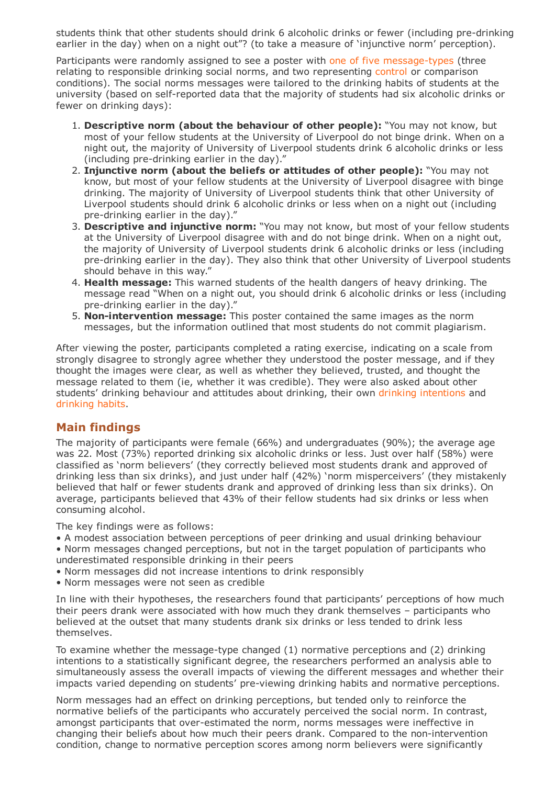students think that other students should drink 6 alcoholic drinks or fewer (including pre-drinking earlier in the day) when on a night out"? (to take a measure of 'injunctive norm' perception).

Participants were randomly assigned to see a poster with one of five message-types (three relating to responsible drinking social norms, and two representing control or comparison conditions). The social norms messages were tailored to the drinking habits of students at the university (based on self-reported data that the majority of students had six alcoholic drinks or fewer on drinking days):

- 1. Descriptive norm (about the behaviour of other people): "You may not know, but most of your fellow students at the University of Liverpool do not binge drink. When on a night out, the majority of University of Liverpool students drink 6 alcoholic drinks or less (including pre-drinking earlier in the day)."
- 2. Injunctive norm (about the beliefs or attitudes of other people): "You may not know, but most of your fellow students at the University of Liverpool disagree with binge drinking. The majority of University of Liverpool students think that other University of Liverpool students should drink 6 alcoholic drinks or less when on a night out (including pre-drinking earlier in the day)."
- 3. Descriptive and injunctive norm: "You may not know, but most of your fellow students at the University of Liverpool disagree with and do not binge drink. When on a night out, the majority of University of Liverpool students drink 6 alcoholic drinks or less (including pre-drinking earlier in the day). They also think that other University of Liverpool students should behave in this way."
- 4. **Health message:** This warned students of the health dangers of heavy drinking. The message read "When on a night out, you should drink 6 alcoholic drinks or less (including pre-drinking earlier in the day)."
- 5. Non-intervention message: This poster contained the same images as the norm messages, but the information outlined that most students do not commit plagiarism.

After viewing the poster, participants completed a rating exercise, indicating on a scale from strongly disagree to strongly agree whether they understood the poster message, and if they thought the images were clear, as well as whether they believed, trusted, and thought the message related to them (ie, whether it was credible). They were also asked about other students' drinking behaviour and attitudes about drinking, their own drinking intentions and drinking habits.

## Main findings

The majority of participants were female (66%) and undergraduates (90%); the average age was 22. Most (73%) reported drinking six alcoholic drinks or less. Just over half (58%) were classified as 'norm believers' (they correctly believed most students drank and approved of drinking less than six drinks), and just under half (42%) 'norm misperceivers' (they mistakenly believed that half or fewer students drank and approved of drinking less than six drinks). On average, participants believed that 43% of their fellow students had six drinks or less when consuming alcohol.

The key findings were as follows:

- A modest association between perceptions of peer drinking and usual drinking behaviour
- Norm messages changed perceptions, but not in the target population of participants who underestimated responsible drinking in their peers
- Norm messages did not increase intentions to drink responsibly
- Norm messages were not seen as credible

In line with their hypotheses, the researchers found that participants' perceptions of how much their peers drank were associated with how much they drank themselves – participants who believed at the outset that many students drank six drinks or less tended to drink less themselves.

To examine whether the message-type changed  $(1)$  normative perceptions and  $(2)$  drinking intentions to a statistically significant degree, the researchers performed an analysis able to simultaneously assess the overall impacts of viewing the different messages and whether their impacts varied depending on students' pre-viewing drinking habits and normative perceptions.

Norm messages had an effect on drinking perceptions, but tended only to reinforce the normative beliefs of the participants who accurately perceived the social norm. In contrast, amongst participants that over-estimated the norm, norms messages were ineffective in changing their beliefs about how much their peers drank. Compared to the non-intervention condition, change to normative perception scores among norm believers were significantly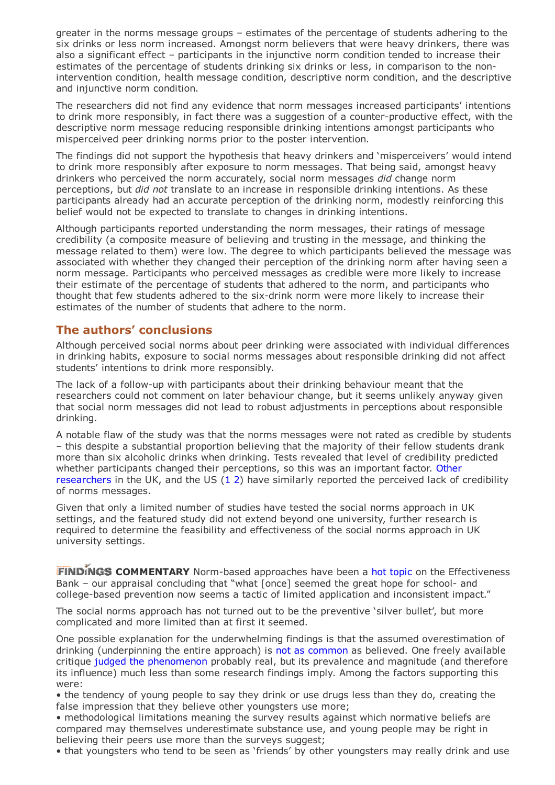greater in the norms message groups – estimates of the percentage of students adhering to the six drinks or less norm increased. Amongst norm believers that were heavy drinkers, there was also a significant effect – participants in the injunctive norm condition tended to increase their estimates of the percentage of students drinking six drinks or less, in comparison to the nonintervention condition, health message condition, descriptive norm condition, and the descriptive and injunctive norm condition.

The researchers did not find any evidence that norm messages increased participants' intentions to drink more responsibly, in fact there was a suggestion of a counter-productive effect, with the descriptive norm message reducing responsible drinking intentions amongst participants who misperceived peer drinking norms prior to the poster intervention.

The findings did not support the hypothesis that heavy drinkers and 'misperceivers' would intend to drink more responsibly after exposure to norm messages. That being said, amongst heavy drinkers who perceived the norm accurately, social norm messages did change norm perceptions, but did not translate to an increase in responsible drinking intentions. As these participants already had an accurate perception of the drinking norm, modestly reinforcing this belief would not be expected to translate to changes in drinking intentions.

Although participants reported understanding the norm messages, their ratings of message credibility (a composite measure of believing and trusting in the message, and thinking the message related to them) were low. The degree to which participants believed the message was associated with whether they changed their perception of the drinking norm after having seen a norm message. Participants who perceived messages as credible were more likely to increase their estimate of the percentage of students that adhered to the norm, and participants who thought that few students adhered to the six-drink norm were more likely to increase their estimates of the number of students that adhere to the norm.

## The authors' conclusions

Although perceived social norms about peer drinking were associated with individual differences in drinking habits, exposure to social norms messages about responsible drinking did not affect students' intentions to drink more responsibly.

The lack of a follow-up with participants about their drinking behaviour meant that the researchers could not comment on later behaviour change, but it seems unlikely anyway given that social norm messages did not lead to robust adjustments in perceptions about responsible drinking.

A notable flaw of the study was that the norms messages were not rated as credible by students – this despite a substantial proportion believing that the majority of their fellow students drank more than six alcoholic drinks when drinking. Tests revealed that level of credibility predicted whether participants changed their [perceptions,](http://dx.doi.org/10.1186/1747-597X-8-15) so this was an important factor. Other researchers in the UK, and the US [\(1](http://dx.doi.org/10.1207/s15327027hc2001_3) [2\)](http://dx.doi.org/10.1080/10810730.2010.546481) have similarly reported the perceived lack of credibility of norms messages.

Given that only a limited number of studies have tested the social norms approach in UK settings, and the featured study did not extend beyond one university, further research is required to determine the feasibility and effectiveness of the social norms approach in UK university settings.

**FINDINGS COMMENTARY** Norm-based approaches have been a hot [topic](http://findings.org.uk/PHP/dl.php?file=hot_normative.hot&s=eb) on the Effectiveness Bank – our appraisal concluding that "what [once] seemed the great hope for school- and college-based prevention now seems a tactic of limited application and inconsistent impact."

The social norms approach has not turned out to be the preventive 'silver bullet', but more complicated and more limited than at first it seemed.

One possible explanation for the underwhelming findings is that the assumed overestimation of drinking (underpinning the entire approach) is not as [common](http://findings.org.uk/PHP/dl.php?file=hot_normative.hot&s=eb) as believed. One freely available critique judged the [phenomenon](http://dx.doi.org/10.1111/j.1360-0443.2011.03680.x) probably real, but its prevalence and magnitude (and therefore its influence) much less than some research findings imply. Among the factors supporting this were:

• the tendency of young people to say they drink or use drugs less than they do, creating the false impression that they believe other youngsters use more;

• methodological limitations meaning the survey results against which normative beliefs are compared may themselves underestimate substance use, and young people may be right in believing their peers use more than the surveys suggest;

• that youngsters who tend to be seen as 'friends' by other youngsters may really drink and use